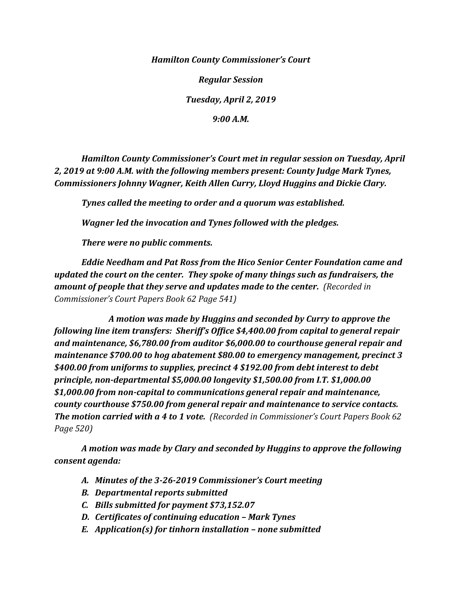*Hamilton County Commissioner's Court*

*Regular Session*

*Tuesday, April 2, 2019*

*9:00 A.M.*

*Hamilton County Commissioner's Court met in regular session on Tuesday, April 2, 2019 at 9:00 A.M. with the following members present: County Judge Mark Tynes, Commissioners Johnny Wagner, Keith Allen Curry, Lloyd Huggins and Dickie Clary.*

*Tynes called the meeting to order and a quorum was established.*

*Wagner led the invocation and Tynes followed with the pledges.*

*There were no public comments.*

*Eddie Needham and Pat Ross from the Hico Senior Center Foundation came and updated the court on the center. They spoke of many things such as fundraisers, the amount of people that they serve and updates made to the center. (Recorded in Commissioner's Court Papers Book 62 Page 541)*

*A motion was made by Huggins and seconded by Curry to approve the following line item transfers: Sheriff's Office \$4,400.00 from capital to general repair and maintenance, \$6,780.00 from auditor \$6,000.00 to courthouse general repair and maintenance \$700.00 to hog abatement \$80.00 to emergency management, precinct 3 \$400.00 from uniforms to supplies, precinct 4 \$192.00 from debt interest to debt principle, non-departmental \$5,000.00 longevity \$1,500.00 from I.T. \$1,000.00 \$1,000.00 from non-capital to communications general repair and maintenance, county courthouse \$750.00 from general repair and maintenance to service contacts. The motion carried with a 4 to 1 vote. (Recorded in Commissioner's Court Papers Book 62 Page 520)*

*A motion was made by Clary and seconded by Huggins to approve the following consent agenda:*

- *A. Minutes of the 3-26-2019 Commissioner's Court meeting*
- *B. Departmental reports submitted*
- *C. Bills submitted for payment \$73,152.07*
- *D. Certificates of continuing education – Mark Tynes*
- *E. Application(s) for tinhorn installation – none submitted*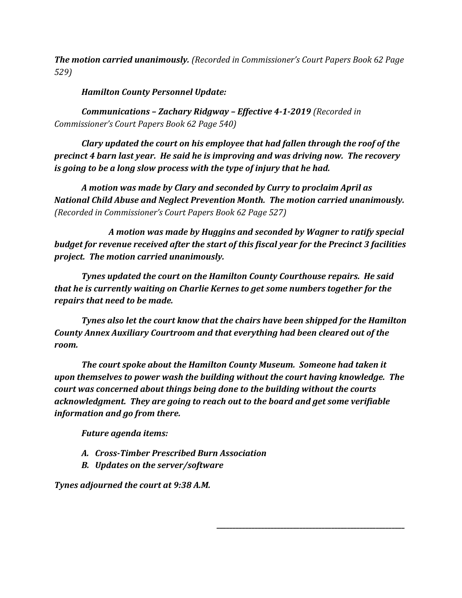*The motion carried unanimously. (Recorded in Commissioner's Court Papers Book 62 Page 529)*

*Hamilton County Personnel Update:*

*Communications – Zachary Ridgway – Effective 4-1-2019 (Recorded in Commissioner's Court Papers Book 62 Page 540)*

*Clary updated the court on his employee that had fallen through the roof of the precinct 4 barn last year. He said he is improving and was driving now. The recovery is going to be a long slow process with the type of injury that he had.*

*A motion was made by Clary and seconded by Curry to proclaim April as National Child Abuse and Neglect Prevention Month. The motion carried unanimously. (Recorded in Commissioner's Court Papers Book 62 Page 527)*

*A motion was made by Huggins and seconded by Wagner to ratify special budget for revenue received after the start of this fiscal year for the Precinct 3 facilities project. The motion carried unanimously.*

*Tynes updated the court on the Hamilton County Courthouse repairs. He said that he is currently waiting on Charlie Kernes to get some numbers together for the repairs that need to be made.*

*Tynes also let the court know that the chairs have been shipped for the Hamilton County Annex Auxiliary Courtroom and that everything had been cleared out of the room.*

*The court spoke about the Hamilton County Museum. Someone had taken it upon themselves to power wash the building without the court having knowledge. The court was concerned about things being done to the building without the courts acknowledgment. They are going to reach out to the board and get some verifiable information and go from there.*

*\_\_\_\_\_\_\_\_\_\_\_\_\_\_\_\_\_\_\_\_\_\_\_\_\_\_\_\_\_\_\_\_\_\_\_\_\_\_\_\_\_\_\_\_\_\_\_\_\_\_\_\_\_\_\_\_\_\_\_*

*Future agenda items:*

- *A. Cross-Timber Prescribed Burn Association*
- *B. Updates on the server/software*

*Tynes adjourned the court at 9:38 A.M.*